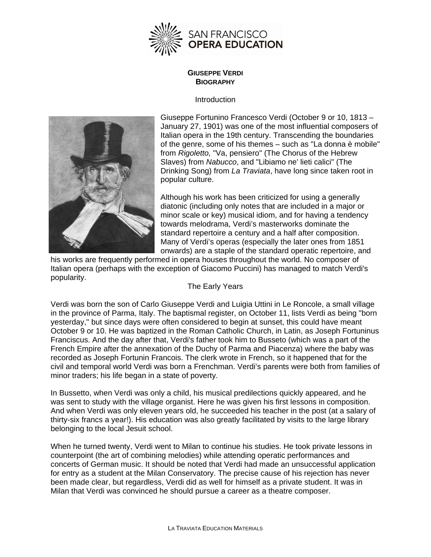

## **GIUSEPPE VERDI BIOGRAPHY**

#### **Introduction**



Giuseppe Fortunino Francesco Verdi (October 9 or 10, 1813 – January 27, 1901) was one of the most influential composers of Italian opera in the 19th century. Transcending the boundaries of the genre, some of his themes – such as "La donna è mobile" from *Rigoletto,* "Va, pensiero" (The Chorus of the Hebrew Slaves) from *Nabucco*, and "Libiamo ne' lieti calici" (The Drinking Song) from *La Traviata*, have long since taken root in popular culture.

Although his work has been criticized for using a generally diatonic (including only notes that are included in a major or minor scale or key) musical idiom, and for having a tendency towards melodrama, Verdi's masterworks dominate the standard repertoire a century and a half after composition. Many of Verdi's operas (especially the later ones from 1851 onwards) are a staple of the standard operatic repertoire, and

popularity. his works are frequently performed in opera houses throughout the world. No composer of Italian opera (perhaps with the exception of Giacomo Puccini) has managed to match Verdi's

# The Early Years

in the province of Parma, Italy. The baptismal register, on October 11, lists Verdi as being "born October 9 or 10. He was baptized in the Roman Catholic Church, in Latin, as Joseph Fortuninus civil and temporal world Verdi was born a Frenchman. Verdi's parents were both from families of minor traders; his life began in a state of poverty. Verdi was born the son of Carlo Giuseppe Verdi and Luigia Uttini in Le Roncole, a small village yesterday," but since days were often considered to begin at sunset, this could have meant Franciscus. And the day after that, Verdi's father took him to Busseto (which was a part of the French Empire after the annexation of the Duchy of Parma and Piacenza) where the baby was recorded as Joseph Fortunin Francois. The clerk wrote in French, so it happened that for the

And when Verdi was only eleven years old, he succeeded his teacher in the post (at a salary of thirty-six francs a year!). His education was also greatly facilitated by visits to the large library belonging to the local Jesuit school. In Bussetto, when Verdi was only a child, his musical predilections quickly appeared, and he was sent to study with the village organist. Here he was given his first lessons in composition.

When he turned twenty, Verdi went to Milan to continue his studies. He took private lessons in for entry as a student at the Milan Conservatory. The precise cause of his rejection has never been made clear, but regardless, Verdi did as well for himself as a private student. It was in Milan that Verdi was convinced he should pursue a career as a theatre composer. counterpoint (the art of combining melodies) while attending operatic performances and concerts of German music. It should be noted that Verdi had made an unsuccessful application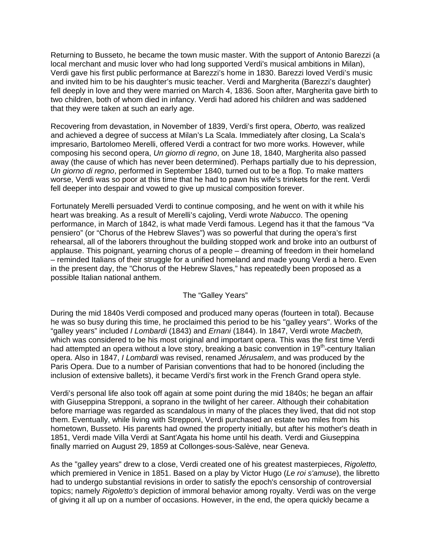Returning to Busseto, he became the town music master. With the support of Antonio Barezzi (a local merchant and music lover who had long supported Verdi's musical ambitions in Milan), Verdi gave his first public performance at Barezzi's home in 1830. Barezzi loved Verdi's music and invited him to be his daughter's music teacher. Verdi and Margherita (Barezzi's daughter) fell deeply in love and they were married on March 4, 1836. Soon after, Margherita gave birth to two children, both of whom died in infancy. Verdi had adored his children and was saddened that they were taken at such an early age.

Recovering from devastation, in November of 1839, Verdi's first opera, *Oberto,* was realized and achieved a degree of success at Milan's La Scala. Immediately after closing, La Scala's impresario, Bartolomeo Merelli, offered Verdi a contract for two more works. However, while composing his second opera, *Un giorno di regno*, on June 18, 1840, Margherita also passed away (the cause of which has never been determined). Perhaps partially due to his depression, *Un giorno di regno*, performed in September 1840, turned out to be a flop. To make matters worse, Verdi was so poor at this time that he had to pawn his wife's trinkets for the rent. Verdi fell deeper into despair and vowed to give up musical composition forever.

Fortunately Merelli persuaded Verdi to continue composing, and he went on with it while his heart was breaking. As a result of Merelli's cajoling, Verdi wrote *Nabucco*. The opening performance, in March of 1842, is what made Verdi famous. Legend has it that the famous "Va pensiero" (or "Chorus of the Hebrew Slaves") was so powerful that during the opera's first rehearsal, all of the laborers throughout the building stopped work and broke into an outburst of applause. This poignant, yearning chorus of a people – dreaming of freedom in their homeland – reminded Italians of their struggle for a unified homeland and made young Verdi a hero. Even in the present day, the "Chorus of the Hebrew Slaves," has repeatedly been proposed as a possible Italian national anthem.

### The "Galley Years"

During the mid 1840s Verdi composed and produced many operas (fourteen in total). Because he was so busy during this time, he proclaimed this period to be his "galley years". Works of the "galley years" included *I Lombardi* (1843) and *Ernani* (1844). In 1847, Verdi wrote *Macbeth,*  which was considered to be his most original and important opera. This was the first time Verdi had attempted an opera without a love story, breaking a basic convention in 19<sup>th</sup>-century Italian opera. Also in 1847, *I Lombardi* was revised, renamed *Jérusalem*, and was produced by the Paris Opera. Due to a number of Parisian conventions that had to be honored (including the inclusion of extensive ballets), it became Verdi's first work in the French Grand opera style.

Verdi's personal life also took off again at some point during the mid 1840s; he began an affair with Giuseppina Strepponi, a soprano in the twilight of her career. Although their cohabitation before marriage was regarded as scandalous in many of the places they lived, that did not stop them. Eventually, while living with Strepponi, Verdi purchased an estate two miles from his hometown, Busseto. His parents had owned the property initially, but after his mother's death in 1851, Verdi made Villa Verdi at Sant'Agata his home until his death. Verdi and Giuseppina finally married on August 29, 1859 at Collonges-sous-Salève, near Geneva.

As the "galley years" drew to a close, Verdi created one of his greatest masterpieces, *Rigoletto,*  which premiered in Venice in 1851. Based on a play by Victor Hugo (*Le roi s'amuse*), the libretto had to undergo substantial revisions in order to satisfy the epoch's censorship of controversial topics; namely *Rigoletto's* depiction of immoral behavior among royalty. Verdi was on the verge of giving it all up on a number of occasions. However, in the end, the opera quickly became a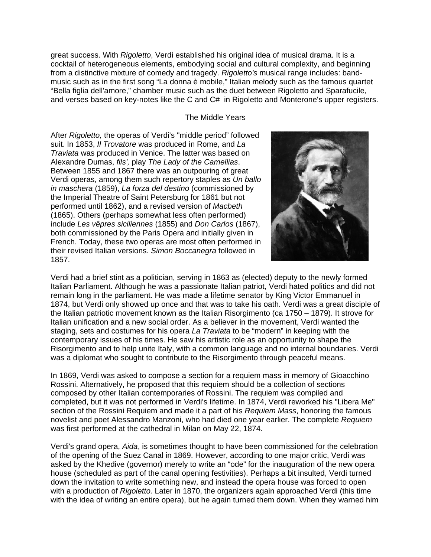great success. With *Rigoletto*, Verdi established his original idea of musical drama. It is a cocktail of heterogeneous elements, embodying social and cultural complexity, and beginning from a distinctive mixture of comedy and tragedy. *Rigoletto's* musical range includes: bandmusic such as in the first song "La donna è mobile," Italian melody such as the famous quartet "Bella figlia dell'amore," chamber music such as the duet between Rigoletto and Sparafucile, and verses based on key-notes like the C and C# in Rigoletto and Monterone's upper registers.

#### The Middle Years

After *Rigoletto,* the operas of Verdi's "middle period" followed suit. In 1853, *Il Trovatore* was produced in Rome, and *La Traviata* was produced in Venice. The latter was based on Alexandre Dumas, *fils',* play *The Lady of the Camellias*. Between 1855 and 1867 there was an outpouring of great Verdi operas, among them such repertory staples as *Un ballo in maschera* (1859), *La forza del destino* (commissioned by the Imperial Theatre of Saint Petersburg for 1861 but not performed until 1862), and a revised version of *Macbeth*  (1865). Others (perhaps somewhat less often performed) include *Les vêpres siciliennes* (1855) and *Don Carlos* (1867), both commissioned by the Paris Opera and initially given in French. Today, these two operas are most often performed in their revised Italian versions. *Simon Boccanegra* followed in 1857.



Verdi had a brief stint as a politician, serving in 1863 as (elected) deputy to the newly formed Italian Parliament. Although he was a passionate Italian patriot, Verdi hated politics and did not remain long in the parliament. He was made a lifetime senator by King Victor Emmanuel in 1874, but Verdi only showed up once and that was to take his oath. Verdi was a great disciple of the Italian patriotic movement known as the Italian Risorgimento (ca 1750 – 1879). It strove for Italian unification and a new social order. As a believer in the movement, Verdi wanted the staging, sets and costumes for his opera *La Traviata* to be "modern" in keeping with the contemporary issues of his times. He saw his artistic role as an opportunity to shape the Risorgimento and to help unite Italy, with a common language and no internal boundaries. Verdi was a diplomat who sought to contribute to the Risorgimento through peaceful means.

In 1869, Verdi was asked to compose a section for a requiem mass in memory of Gioacchino Rossini. Alternatively, he proposed that this requiem should be a collection of sections composed by other Italian contemporaries of Rossini. The requiem was compiled and completed, but it was not performed in Verdi's lifetime. In 1874, Verdi reworked his "Libera Me" section of the Rossini Requiem and made it a part of his *Requiem Mass*, honoring the famous novelist and poet Alessandro Manzoni, who had died one year earlier. The complete *Requiem* was first performed at the cathedral in Milan on May 22, 1874.

Verdi's grand opera, *Aida*, is sometimes thought to have been commissioned for the celebration of the opening of the Suez Canal in 1869. However, according to one major critic, Verdi was asked by the Khedive (governor) merely to write an "ode" for the inauguration of the new opera house (scheduled as part of the canal opening festivities). Perhaps a bit insulted, Verdi turned down the invitation to write something new, and instead the opera house was forced to open with a production of *Rigoletto.* Later in 1870, the organizers again approached Verdi (this time with the idea of writing an entire opera), but he again turned them down. When they warned him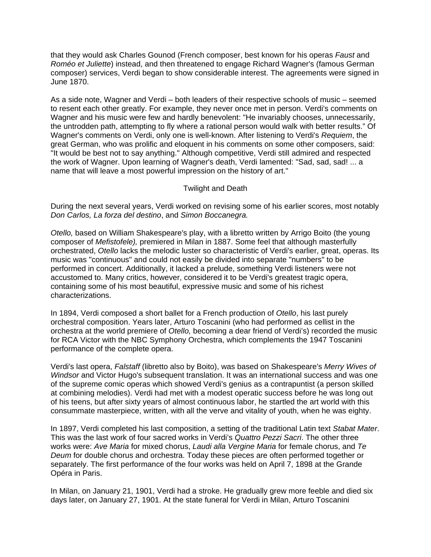that they would ask Charles Gounod (French composer, best known for his operas *Faust* and *Roméo et Juliette*) instead, and then threatened to engage Richard Wagner's (famous German composer) services, Verdi began to show considerable interest. The agreements were signed in June 1870.

As a side note, Wagner and Verdi – both leaders of their respective schools of music – seemed to resent each other greatly. For example, they never once met in person. Verdi's comments on Wagner and his music were few and hardly benevolent: "He invariably chooses, unnecessarily, the untrodden path, attempting to fly where a rational person would walk with better results." Of Wagner's comments on Verdi, only one is well-known. After listening to Verdi's *Requiem*, the great German, who was prolific and eloquent in his comments on some other composers, said: "It would be best not to say anything." Although competitive, Verdi still admired and respected the work of Wagner. Upon learning of Wagner's death, Verdi lamented: "Sad, sad, sad! ... a name that will leave a most powerful impression on the history of art."

## Twilight and Death

During the next several years, Verdi worked on revising some of his earlier scores, most notably *Don Carlos, La forza del destino*, and *Simon Boccanegra.*

*Otello,* based on William Shakespeare's play, with a libretto written by Arrigo Boito (the young composer of *Mefistofele),* premiered in Milan in 1887. Some feel that although masterfully orchestrated, *Otello* lacks the melodic luster so characteristic of Verdi's earlier, great, operas. Its music was "continuous" and could not easily be divided into separate "numbers" to be performed in concert. Additionally, it lacked a prelude, something Verdi listeners were not accustomed to. Many critics, however, considered it to be Verdi's greatest tragic opera, containing some of his most beautiful, expressive music and some of his richest characterizations.

In 1894, Verdi composed a short ballet for a French production of *Otello*, his last purely orchestral composition. Years later, Arturo Toscanini (who had performed as cellist in the orchestra at the world premiere of *Otello,* becoming a dear friend of Verdi's) recorded the music for RCA Victor with the NBC Symphony Orchestra, which complements the 1947 Toscanini performance of the complete opera.

Verdi's last opera, *Falstaff* (libretto also by Boito), was based on Shakespeare's *Merry Wives of Windsor* and Victor Hugo's subsequent translation. It was an international success and was one of the supreme comic operas which showed Verdi's genius as a contrapuntist (a person skilled at combining melodies). Verdi had met with a modest operatic success before he was long out of his teens, but after sixty years of almost continuous labor, he startled the art world with this consummate masterpiece, written, with all the verve and vitality of youth, when he was eighty.

In 1897, Verdi completed his last composition, a setting of the traditional Latin text *Stabat Mater*. This was the last work of four sacred works in Verdi's *Quattro Pezzi Sacri*. The other three works were: *Ave Maria* for mixed chorus, *Laudi alla Vergine Maria* for female chorus, and *Te Deum* for double chorus and orchestra. Today these pieces are often performed together or separately. The first performance of the four works was held on April 7, 1898 at the Grande Opéra in Paris.

In Milan, on January 21, 1901, Verdi had a stroke. He gradually grew more feeble and died six days later, on January 27, 1901. At the state funeral for Verdi in Milan, Arturo Toscanini